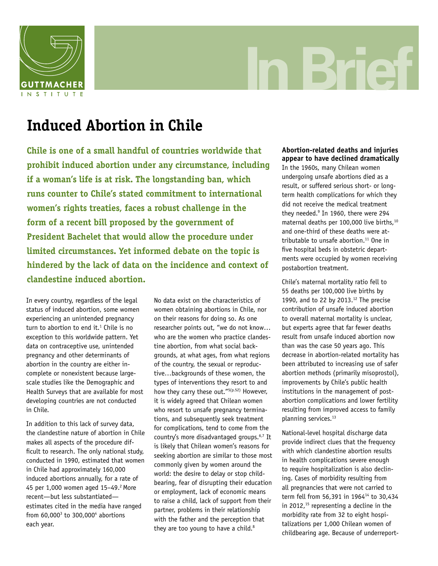

# **In Brief**

# **Induced Abortion in Chile**

**Chile is one of a small handful of countries worldwide that prohibit induced abortion under any circumstance, including if a woman's life is at risk. The longstanding ban, which runs counter to Chile's stated commitment to international women's rights treaties, faces a robust challenge in the form of a recent bill proposed by the government of President Bachelet that would allow the procedure under limited circumstances. Yet informed debate on the topic is hindered by the lack of data on the incidence and context of clandestine induced abortion.**

In every country, regardless of the legal status of induced abortion, some women experiencing an unintended pregnancy turn to abortion to end it. $1$  Chile is no exception to this worldwide pattern. Yet data on contraceptive use, unintended pregnancy and other determinants of abortion in the country are either incomplete or nonexistent because largescale studies like the Demographic and Health Surveys that are available for most developing countries are not conducted in Chile.

In addition to this lack of survey data, the clandestine nature of abortion in Chile makes all aspects of the procedure difficult to research. The only national study, conducted in 1990, estimated that women in Chile had approximately 160,000 induced abortions annually, for a rate of 45 per 1,000 women aged 15-49.<sup>2</sup> More recent—but less substantiated estimates cited in the media have ranged from 60,000<sup>3</sup> to 300,000<sup>4</sup> abortions each year.

No data exist on the characteristics of women obtaining abortions in Chile, nor on their reasons for doing so. As one researcher points out, "we do not know… who are the women who practice clandestine abortion, from what social backgrounds, at what ages, from what regions of the country, the sexual or reproductive…backgrounds of these women, the types of interventions they resort to and how they carry these out."<sup>5(p.52)</sup> However, it is widely agreed that Chilean women who resort to unsafe pregnancy terminations, and subsequently seek treatment for complications, tend to come from the country's more disadvantaged groups.6,7 It is likely that Chilean women's reasons for seeking abortion are similar to those most commonly given by women around the world: the desire to delay or stop childbearing, fear of disrupting their education or employment, lack of economic means to raise a child, lack of support from their partner, problems in their relationship with the father and the perception that they are too young to have a child.<sup>8</sup>

# **Abortion-related deaths and injuries appear to have declined dramatically**

In the 1960s, many Chilean women undergoing unsafe abortions died as a result, or suffered serious short- or longterm health complications for which they did not receive the medical treatment they needed.9 In 1960, there were 294 maternal deaths per 100,000 live births,<sup>10</sup> and one-third of these deaths were attributable to unsafe abortion. $11$  One in five hospital beds in obstetric departments were occupied by women receiving postabortion treatment.

Chile's maternal mortality ratio fell to 55 deaths per 100,000 live births by 1990, and to 22 by 2013. $12$  The precise contribution of unsafe induced abortion to overall maternal mortality is unclear, but experts agree that far fewer deaths result from unsafe induced abortion now than was the case 50 years ago. This decrease in abortion-related mortality has been attributed to increasing use of safer abortion methods (primarily misoprostol), improvements by Chile's public health institutions in the management of postabortion complications and lower fertility resulting from improved access to family planning services.<sup>13</sup>

National-level hospital discharge data provide indirect clues that the frequency with which clandestine abortion results in health complications severe enough to require hospitalization is also declining. Cases of morbidity resulting from all pregnancies that were not carried to term fell from 56,391 in 1964<sup>14</sup> to 30,434 in 2012, $15$  representing a decline in the morbidity rate from 32 to eight hospitalizations per 1,000 Chilean women of childbearing age. Because of underreport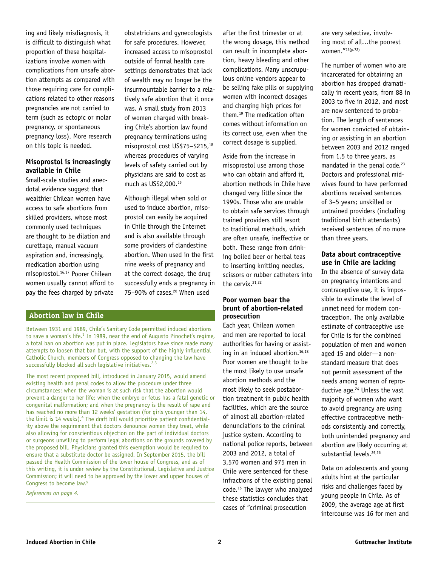ing and likely misdiagnosis, it is difficult to distinguish what proportion of these hospitalizations involve women with complications from unsafe abortion attempts as compared with those requiring care for complications related to other reasons pregnancies are not carried to term (such as ectopic or molar pregnancy, or spontaneous pregnancy loss). More research on this topic is needed.

### **Misoprostol is increasingly available in Chile**

Small-scale studies and anecdotal evidence suggest that wealthier Chilean women have access to safe abortions from skilled providers, whose most commonly used techniques are thought to be dilation and curettage, manual vacuum aspiration and, increasingly, medication abortion using misoprostol.16,17 Poorer Chilean women usually cannot afford to pay the fees charged by private

obstetricians and gynecologists for safe procedures. However, increased access to misoprostol outside of formal health care settings demonstrates that lack of wealth may no longer be the insurmountable barrier to a relatively safe abortion that it once was. A small study from 2013 of women charged with breaking Chile's abortion law found pregnancy terminations using misoprostol cost US\$75–\$215,18 whereas procedures of varying levels of safety carried out by physicians are said to cost as much as US\$2,000.19

Although illegal when sold or used to induce abortion, misoprostol can easily be acquired in Chile through the Internet and is also available through some providers of clandestine abortion. When used in the first nine weeks of pregnancy and at the correct dosage, the drug successfully ends a pregnancy in 75–90% of cases.20 When used

# **Abortion law in Chile**

Between 1931 and 1989, Chile's Sanitary Code permitted induced abortions to save a woman's life.<sup>1</sup> In 1989, near the end of Augusto Pinochet's regime, a total ban on abortion was put in place. Legislators have since made many attempts to loosen that ban but, with the support of the highly influential Catholic Church, members of Congress opposed to changing the law have successfully blocked all such legislative initiatives.<sup>2,3</sup>

The most recent proposed bill, introduced in January 2015, would amend existing health and penal codes to allow the procedure under three circumstances: when the woman is at such risk that the abortion would prevent a danger to her life; when the embryo or fetus has a fatal genetic or congenital malformation; and when the pregnancy is the result of rape and has reached no more than 12 weeks' gestation (for girls younger than 14, the limit is 14 weeks).<sup>4</sup> The draft bill would prioritize patient confidentiality above the requirement that doctors denounce women they treat, while also allowing for conscientious objection on the part of individual doctors or surgeons unwilling to perform legal abortions on the grounds covered by the proposed bill. Physicians granted this exemption would be required to ensure that a substitute doctor be assigned. In September 2015, the bill passed the Health Commission of the lower house of Congress, and as of this writing, it is under review by the Constitutional, Legislative and Justice Commission; it will need to be approved by the lower and upper houses of Congress to become law.5

*References on page 4.*

after the first trimester or at the wrong dosage, this method can result in incomplete abortion, heavy bleeding and other complications. Many unscrupulous online vendors appear to be selling fake pills or supplying women with incorrect dosages and charging high prices for them.19 The medication often comes without information on its correct use, even when the correct dosage is supplied.

Aside from the increase in misoprostol use among those who can obtain and afford it, abortion methods in Chile have changed very little since the 1990s. Those who are unable to obtain safe services through trained providers still resort to traditional methods, which are often unsafe, ineffective or both. These range from drinking boiled beer or herbal teas to inserting knitting needles, scissors or rubber catheters into the cervix.<sup>21,22</sup>

# **Poor women bear the brunt of abortion-related prosecution**

Each year, Chilean women and men are reported to local authorities for having or assisting in an induced abortion.<sup>16,18</sup> Poor women are thought to be the most likely to use unsafe abortion methods and the most likely to seek postabortion treatment in public health facilities, which are the source of almost all abortion-related denunciations to the criminal justice system. According to national police reports, between 2003 and 2012, a total of 3,570 women and 975 men in Chile were sentenced for these infractions of the existing penal code.16 The lawyer who analyzed these statistics concludes that cases of "criminal prosecution

are very selective, involving most of all…the poorest women."16(p.72)

The number of women who are incarcerated for obtaining an abortion has dropped dramatically in recent years, from 88 in 2003 to five in 2012, and most are now sentenced to probation. The length of sentences for women convicted of obtaining or assisting in an abortion between 2003 and 2012 ranged from 1.5 to three years, as mandated in the penal code.<sup>23</sup> Doctors and professional midwives found to have performed abortions received sentences of 3–5 years; unskilled or untrained providers (including traditional birth attendants) received sentences of no more than three years.

#### **Data about contraceptive use in Chile are lacking**

In the absence of survey data on pregnancy intentions and contraceptive use, it is impossible to estimate the level of unmet need for modern contraception. The only available estimate of contraceptive use for Chile is for the combined population of men and women aged 15 and older—a nonstandard measure that does not permit assessment of the needs among women of reproductive age.<sup>24</sup> Unless the vast majority of women who want to avoid pregnancy are using effective contraceptive methods consistently and correctly, both unintended pregnancy and abortion are likely occurring at substantial levels.<sup>25,26</sup>

Data on adolescents and young adults hint at the particular risks and challenges faced by young people in Chile. As of 2009, the average age at first intercourse was 16 for men and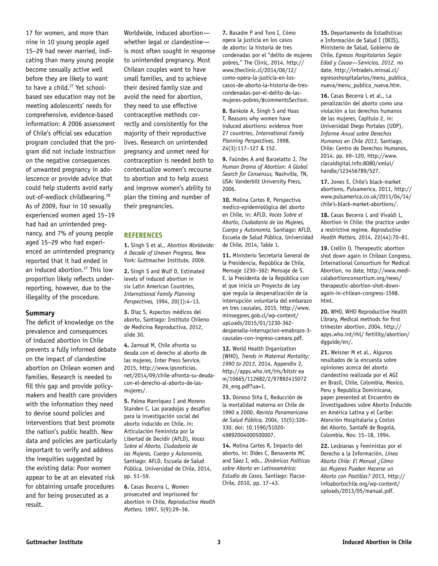17 for women, and more than nine in 10 young people aged 15–29 had never married, indicating than many young people become sexually active well before they are likely to want to have a child.<sup>27</sup> Yet schoolbased sex education may not be meeting adolescents' needs for comprehensive, evidence-based information: A 2006 assessment of Chile's official sex education program concluded that the program did not include instruction on the negative consequences of unwanted pregnancy in adolescence or provide advice that could help students avoid early out-of-wedlock childbearing.<sup>28</sup> As of 2009, four in 10 sexually experienced women aged 15–19 had had an unintended pregnancy, and 7% of young people aged 15–29 who had experienced an unintended pregnancy reported that it had ended in an induced abortion.<sup>27</sup> This low proportion likely reflects underreporting, however, due to the illegality of the procedure.

#### **Summary**

The deficit of knowledge on the prevalence and consequences of induced abortion in Chile prevents a fully informed debate on the impact of clandestine abortion on Chilean women and families. Research is needed to fill this gap and provide policymakers and health care providers with the information they need to devise sound policies and interventions that best promote the nation's public health. New data and policies are particularly important to verify and address the inequities suggested by the existing data: Poor women appear to be at an elevated risk for obtaining unsafe procedures and for being prosecuted as a result.

Worldwide, induced abortion whether legal or clandestine is most often sought in response to unintended pregnancy. Most Chilean couples want to have small families, and to achieve their desired family size and avoid the need for abortion, they need to use effective contraceptive methods correctly and consistently for the majority of their reproductive lives. Research on unintended pregnancy and unmet need for contraception is needed both to contextualize women's recourse to abortion and to help assess and improve women's ability to plan the timing and number of their pregnancies.

#### **REFERENCES**

**1.** Singh S et al., *Abortion Worldwide: A Decade of Uneven Progress,* New York: Guttmacher Institute, 2009.

**2.** Singh S and Wulf D, Estimated levels of induced abortion in six Latin American Countries, *International Family Planning Perspectives,* 1994, 20(1):4–13.

**3.** Díaz S, Aspectos médicos del aborto, Santiago: Instituto Chileno de Medicina Reproductiva, 2012, slide 30.

**4.** Jarroud M, Chile afronta su deuda con el derecho al aborto de las mujeres, Inter Press Service, 2015, http://www.ipsnoticias. net/2014/09/chile-afronta-su-deudacon-el-derecho-al-aborto-de-lasmujeres/.

**5.** Palma Manríquez I and Moreno Standen C, Las paradojas y desafíos para la investigación social del aborto inducido en Chile, in: Articulación Feminista por la Libertad de Decidir (AFLD), *Voces Sobre el Aborto, Ciudadanía de las Mujeres, Cuerpo y Autonomía,* Santiago: AFLD, Escuela de Salud Pública, Universidad de Chile, 2014, pp. 51–59.

**6.** Casas Becerra L, Women prosecuted and imprisoned for abortion in Chile, *Reproductive Health Matters,* 1997, 5(9):29–36.

**7.** Basadre P and Toro I, Cómo opera la justicia en los casos de aborto: la historia de tres condenadas por el "delito de mujeres pobres," The Clinic, 2014, http:// www.theclinic.cl/2014/06/12/ como-opera-la-justicia-en-loscasos-de-aborto-la-historia-de-trescondenadas-por-el-delito-de-lasmujeres-pobres/#commentsSection.

**8.** Bankole A, Singh S and Haas T, Reasons why women have induced abortions: evidence from 27 countries, *International Family Planning Perspectives,* 1998, 24(3):117–127 & 152.

**9.** Faúndes A and Barzelatto J, *The Human Drama of Abortion: A Global Search for Consensus,* Nashville, TN, USA: Vanderbilt University Press, 2006.

**10.** Molina Cartes R, Perspectiva medico-epidemiológica del aborto en Chile, in: AFLD, *Voces Sobre el Aborto, Ciudadanía de las Mujeres, Cuerpo y Autonomía,* Santiago: AFLD, Escuela de Salud Pública, Universidad de Chile, 2014, Table 1.

**11.** Ministerio Secretaría General de la Presidencia, República de Chile, Mensaje 1230–362: Mensaje de S. E. la Presidenta de la República con el que inicia un Proyecto de Ley que regula la despenalización de la interrupción voluntaria del embarazo en tres causales, 2015, http://www. minsegpres.gob.cl/wp-content/ upLoads/2015/01/1230-362 despenalia-interrupcion-emabrazo-3 causales-con-ingreso-camara.pdf.

**12.** World Health Organization (WHO), *Trends in Maternal Mortality: 1990 to 2013*, 2014, Appendix 2, http://apps.who.int/iris/bitstr ea m/10665/112682/2/97892415072 26\_eng.pdf?ua=1.

**13.** Donoso Siña E, Reducción de la mortalidad materna en Chile de 1990 a 2000, *Revista Panamericana de Salud Pública,* 2004, 15(5):326– 330, doi: 10.1590/S1020- 49892004000500007.

**14.** Molina Cartes R, Impacto del aborto, in: Dides C, Benavente MC and Sáez I, eds., *Dinámicas Políticas sobre Aborto en Latinoamérica: Estudio de Casos,* Santiago: Flacso-Chile, 2010, pp. 17–43.

**15.** Departamento de Estadísticas e Información de Salud I (DEIS), Ministerio de Salud, Gobierno de Chile, *Egresos Hospitalarios Según Edad y Causa—Servicios, 2012,* no date, http://intradeis.minsal.cl/ egresoshospitalarios/menu\_publica\_ nueva/menu\_publica\_nueva.htm.

**16.** Casas Becerra L et al., La penalización del aborto como una violación a los derechos humanos de las mujeres, Capítulo 2, in: Universidad Diego Portales (UDP), *Informe Anual sobre Derechos Humanos en Chile 2013,* Santiago, Chile: Centro de Derechos Humanos, 2014, pp. 69–120, http://www. clacaidigital.info:8080/xmlui/ handle/123456789/527.

**17.** Jones E, Chile's black-market abortions, Pulsamerica, 2011, http:// www.pulsamerica.co.uk/2011/04/14/ chile's-black-market-abortions/.

**18.** Casas Becerra L and Vivaldi L, Abortion in Chile: the practice under a restrictive regime, *Reproductive Health Matters,* 2014, 22(44):70–81.

**19.** Crellin O, Therapeutic abortion shot down again in Chilean Congress, International Consortium for Medical Abortion, no date, http://www.medicalabortionconsortium.org/news/ therapeutic-abortion-shot-downagain-in-chilean-congress-1598. html.

**20.** WHO, WHO Reproductive Health Library, Medical methods for first trimester abortion, 2004, http:// apps.who.int/rhl/ fertility/abortion/ dgguide/en/.

**21.** Weisner M et al., Algunos resultados de la encuesta sobre opiniones acerca del aborto clandestino realizada por el AGI en Brasil, Chile, Colombia, Mexico, Peru y Republica Dominicana, paper presented at Encuentro de Investigadores sobre Aborto Inducido en América Latina y el Caribe: Atención Hospitalaria y Costos del Aborto, Santafé de Bogotá, Colombia, Nov. 15–18, 1994.

**22.** Lesbianas y Feministas por el Derecho a la Información, *Línea Aborto Chile: El Manual ¿Cómo las Mujeres Pueden Hacerse un Aborto con Pastillas?* 2013, http:// infoabortochile.org/wp-content/ uploads/2013/05/manual.pdf.